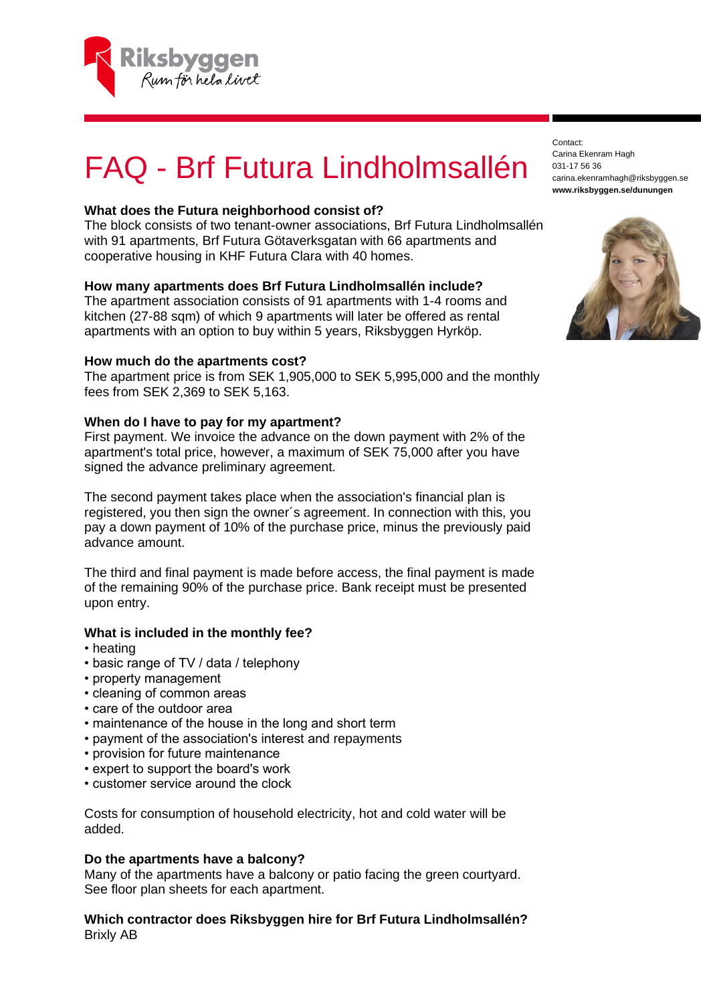

# FAQ - Brf Futura Lindholmsallén

# **What does the Futura neighborhood consist of?**

The block consists of two tenant-owner associations, Brf Futura Lindholmsallén with 91 apartments, Brf Futura Götaverksgatan with 66 apartments and cooperative housing in KHF Futura Clara with 40 homes.

# **How many apartments does Brf Futura Lindholmsallén include?**

The apartment association consists of 91 apartments with 1-4 rooms and kitchen (27-88 sqm) of which 9 apartments will later be offered as rental apartments with an option to buy within 5 years, Riksbyggen Hyrköp.

# **How much do the apartments cost?**

The apartment price is from SEK 1,905,000 to SEK 5,995,000 and the monthly fees from SEK 2,369 to SEK 5,163.

# **When do I have to pay for my apartment?**

First payment. We invoice the advance on the down payment with 2% of the apartment's total price, however, a maximum of SEK 75,000 after you have signed the advance preliminary agreement.

The second payment takes place when the association's financial plan is registered, you then sign the owner´s agreement. In connection with this, you pay a down payment of 10% of the purchase price, minus the previously paid advance amount.

The third and final payment is made before access, the final payment is made of the remaining 90% of the purchase price. Bank receipt must be presented upon entry.

# **What is included in the monthly fee?**

- heating
- basic range of TV / data / telephony
- property management
- cleaning of common areas
- care of the outdoor area
- maintenance of the house in the long and short term
- payment of the association's interest and repayments
- provision for future maintenance
- expert to support the board's work
- customer service around the clock

Costs for consumption of household electricity, hot and cold water will be added.

#### **Do the apartments have a balcony?**

Many of the apartments have a balcony or patio facing the green courtyard. See floor plan sheets for each apartment.

# **Which contractor does Riksbyggen hire for Brf Futura Lindholmsallén?** Brixly AB

Contact: Carina Ekenram Hagh 031-17 56 36 carina.ekenramhagh@riksbyggen.se **www.riksbyggen.se/dunungen**

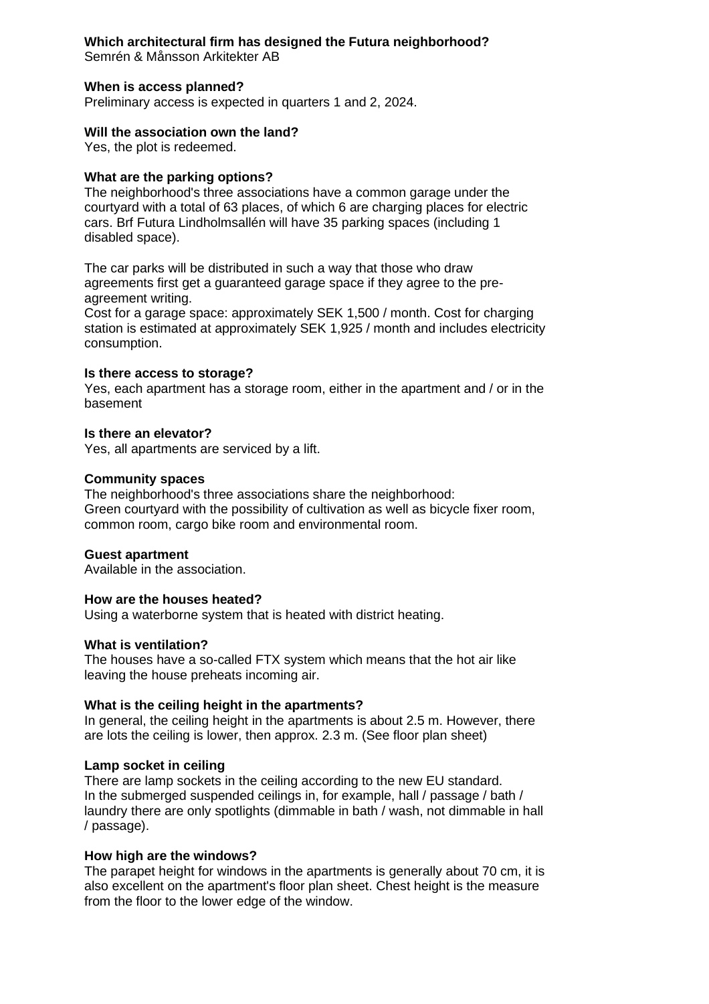# **Which architectural firm has designed the Futura neighborhood?**

Semrén & Månsson Arkitekter AB

# **When is access planned?**

Preliminary access is expected in quarters 1 and 2, 2024.

# **Will the association own the land?**

Yes, the plot is redeemed.

# **What are the parking options?**

The neighborhood's three associations have a common garage under the courtyard with a total of 63 places, of which 6 are charging places for electric cars. Brf Futura Lindholmsallén will have 35 parking spaces (including 1 disabled space).

The car parks will be distributed in such a way that those who draw agreements first get a guaranteed garage space if they agree to the preagreement writing.

Cost for a garage space: approximately SEK 1,500 / month. Cost for charging station is estimated at approximately SEK 1,925 / month and includes electricity consumption.

#### **Is there access to storage?**

Yes, each apartment has a storage room, either in the apartment and / or in the basement

# **Is there an elevator?**

Yes, all apartments are serviced by a lift.

# **Community spaces**

The neighborhood's three associations share the neighborhood: Green courtyard with the possibility of cultivation as well as bicycle fixer room, common room, cargo bike room and environmental room.

# **Guest apartment**

Available in the association.

#### **How are the houses heated?**

Using a waterborne system that is heated with district heating.

#### **What is ventilation?**

The houses have a so-called FTX system which means that the hot air like leaving the house preheats incoming air.

# **What is the ceiling height in the apartments?**

In general, the ceiling height in the apartments is about 2.5 m. However, there are lots the ceiling is lower, then approx. 2.3 m. (See floor plan sheet)

#### **Lamp socket in ceiling**

There are lamp sockets in the ceiling according to the new EU standard. In the submerged suspended ceilings in, for example, hall / passage / bath / laundry there are only spotlights (dimmable in bath / wash, not dimmable in hall / passage).

#### **How high are the windows?**

The parapet height for windows in the apartments is generally about 70 cm, it is also excellent on the apartment's floor plan sheet. Chest height is the measure from the floor to the lower edge of the window.